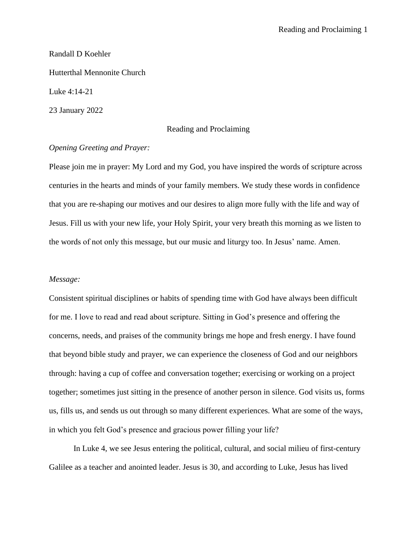# Randall D Koehler Hutterthal Mennonite Church Luke 4:14-21 23 January 2022

## Reading and Proclaiming

### *Opening Greeting and Prayer:*

Please join me in prayer: My Lord and my God, you have inspired the words of scripture across centuries in the hearts and minds of your family members. We study these words in confidence that you are re-shaping our motives and our desires to align more fully with the life and way of Jesus. Fill us with your new life, your Holy Spirit, your very breath this morning as we listen to the words of not only this message, but our music and liturgy too. In Jesus' name. Amen.

#### *Message:*

Consistent spiritual disciplines or habits of spending time with God have always been difficult for me. I love to read and read about scripture. Sitting in God's presence and offering the concerns, needs, and praises of the community brings me hope and fresh energy. I have found that beyond bible study and prayer, we can experience the closeness of God and our neighbors through: having a cup of coffee and conversation together; exercising or working on a project together; sometimes just sitting in the presence of another person in silence. God visits us, forms us, fills us, and sends us out through so many different experiences. What are some of the ways, in which you felt God's presence and gracious power filling your life?

In Luke 4, we see Jesus entering the political, cultural, and social milieu of first-century Galilee as a teacher and anointed leader. Jesus is 30, and according to Luke, Jesus has lived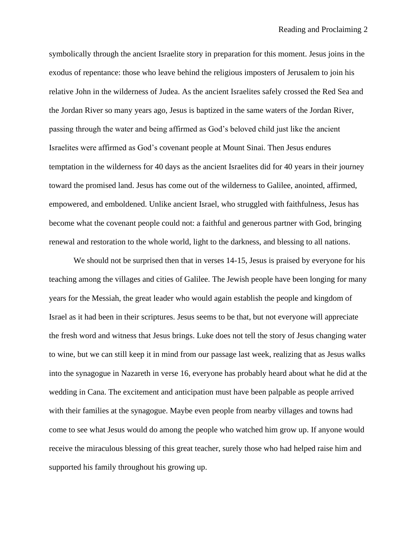symbolically through the ancient Israelite story in preparation for this moment. Jesus joins in the exodus of repentance: those who leave behind the religious imposters of Jerusalem to join his relative John in the wilderness of Judea. As the ancient Israelites safely crossed the Red Sea and the Jordan River so many years ago, Jesus is baptized in the same waters of the Jordan River, passing through the water and being affirmed as God's beloved child just like the ancient Israelites were affirmed as God's covenant people at Mount Sinai. Then Jesus endures temptation in the wilderness for 40 days as the ancient Israelites did for 40 years in their journey toward the promised land. Jesus has come out of the wilderness to Galilee, anointed, affirmed, empowered, and emboldened. Unlike ancient Israel, who struggled with faithfulness, Jesus has become what the covenant people could not: a faithful and generous partner with God, bringing renewal and restoration to the whole world, light to the darkness, and blessing to all nations.

We should not be surprised then that in verses 14-15, Jesus is praised by everyone for his teaching among the villages and cities of Galilee. The Jewish people have been longing for many years for the Messiah, the great leader who would again establish the people and kingdom of Israel as it had been in their scriptures. Jesus seems to be that, but not everyone will appreciate the fresh word and witness that Jesus brings. Luke does not tell the story of Jesus changing water to wine, but we can still keep it in mind from our passage last week, realizing that as Jesus walks into the synagogue in Nazareth in verse 16, everyone has probably heard about what he did at the wedding in Cana. The excitement and anticipation must have been palpable as people arrived with their families at the synagogue. Maybe even people from nearby villages and towns had come to see what Jesus would do among the people who watched him grow up. If anyone would receive the miraculous blessing of this great teacher, surely those who had helped raise him and supported his family throughout his growing up.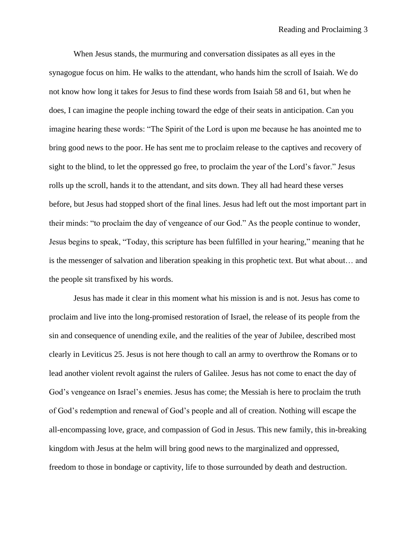When Jesus stands, the murmuring and conversation dissipates as all eyes in the synagogue focus on him. He walks to the attendant, who hands him the scroll of Isaiah. We do not know how long it takes for Jesus to find these words from Isaiah 58 and 61, but when he does, I can imagine the people inching toward the edge of their seats in anticipation. Can you imagine hearing these words: "The Spirit of the Lord is upon me because he has anointed me to bring good news to the poor. He has sent me to proclaim release to the captives and recovery of sight to the blind, to let the oppressed go free, to proclaim the year of the Lord's favor." Jesus rolls up the scroll, hands it to the attendant, and sits down. They all had heard these verses before, but Jesus had stopped short of the final lines. Jesus had left out the most important part in their minds: "to proclaim the day of vengeance of our God." As the people continue to wonder, Jesus begins to speak, "Today, this scripture has been fulfilled in your hearing," meaning that he is the messenger of salvation and liberation speaking in this prophetic text. But what about… and the people sit transfixed by his words.

Jesus has made it clear in this moment what his mission is and is not. Jesus has come to proclaim and live into the long-promised restoration of Israel, the release of its people from the sin and consequence of unending exile, and the realities of the year of Jubilee, described most clearly in Leviticus 25. Jesus is not here though to call an army to overthrow the Romans or to lead another violent revolt against the rulers of Galilee. Jesus has not come to enact the day of God's vengeance on Israel's enemies. Jesus has come; the Messiah is here to proclaim the truth of God's redemption and renewal of God's people and all of creation. Nothing will escape the all-encompassing love, grace, and compassion of God in Jesus. This new family, this in-breaking kingdom with Jesus at the helm will bring good news to the marginalized and oppressed, freedom to those in bondage or captivity, life to those surrounded by death and destruction.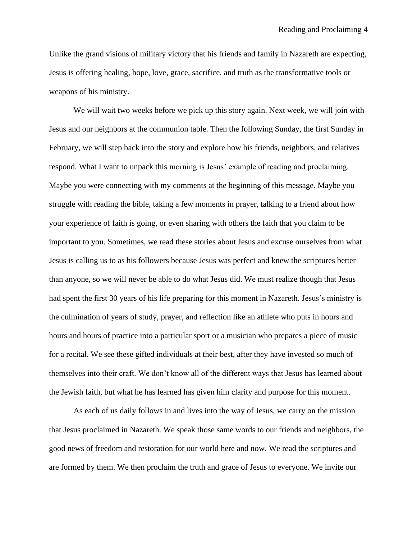Unlike the grand visions of military victory that his friends and family in Nazareth are expecting, Jesus is offering healing, hope, love, grace, sacrifice, and truth as the transformative tools or weapons of his ministry.

We will wait two weeks before we pick up this story again. Next week, we will join with Jesus and our neighbors at the communion table. Then the following Sunday, the first Sunday in February, we will step back into the story and explore how his friends, neighbors, and relatives respond. What I want to unpack this morning is Jesus' example of reading and proclaiming. Maybe you were connecting with my comments at the beginning of this message. Maybe you struggle with reading the bible, taking a few moments in prayer, talking to a friend about how your experience of faith is going, or even sharing with others the faith that you claim to be important to you. Sometimes, we read these stories about Jesus and excuse ourselves from what Jesus is calling us to as his followers because Jesus was perfect and knew the scriptures better than anyone, so we will never be able to do what Jesus did. We must realize though that Jesus had spent the first 30 years of his life preparing for this moment in Nazareth. Jesus's ministry is the culmination of years of study, prayer, and reflection like an athlete who puts in hours and hours and hours of practice into a particular sport or a musician who prepares a piece of music for a recital. We see these gifted individuals at their best, after they have invested so much of themselves into their craft. We don't know all of the different ways that Jesus has learned about the Jewish faith, but what he has learned has given him clarity and purpose for this moment.

As each of us daily follows in and lives into the way of Jesus, we carry on the mission that Jesus proclaimed in Nazareth. We speak those same words to our friends and neighbors, the good news of freedom and restoration for our world here and now. We read the scriptures and are formed by them. We then proclaim the truth and grace of Jesus to everyone. We invite our